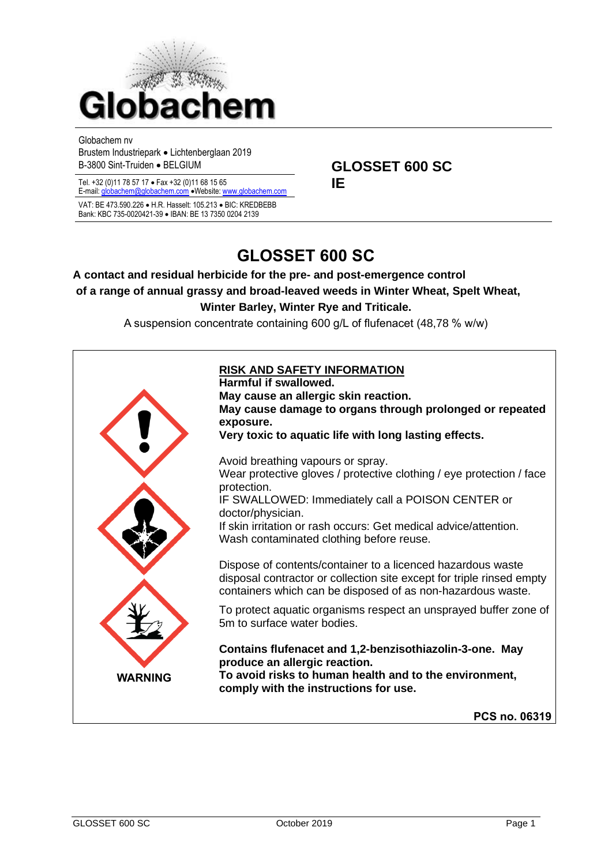

Globachem nv

Brustem Industriepark • Lichtenberglaan 2019 B-3800 Sint-Truiden • BELGIUM **GLOSSET 600 SC** 

Tel. +32 (0)11 78 57 17 • Fax +32 (0)11 68 15 65 **IE**

E-mail[: globachem@globachem.com](mailto:globachem@globachem.com) •Website[: www.globachem.com](mailto:globachem@globachem.com) VAT: BE 473.590.226 • H.R. Hasselt: 105.213 • BIC: KREDBEBB Bank: KBC 735-0020421-39 • IBAN: BE 13 7350 0204 2139

# **GLOSSET 600 SC**

# **A contact and residual herbicide for the pre- and post-emergence control of a range of annual grassy and broad-leaved weeds in Winter Wheat, Spelt Wheat, Winter Barley, Winter Rye and Triticale.**

A suspension concentrate containing 600 g/L of flufenacet (48,78 % w/w)

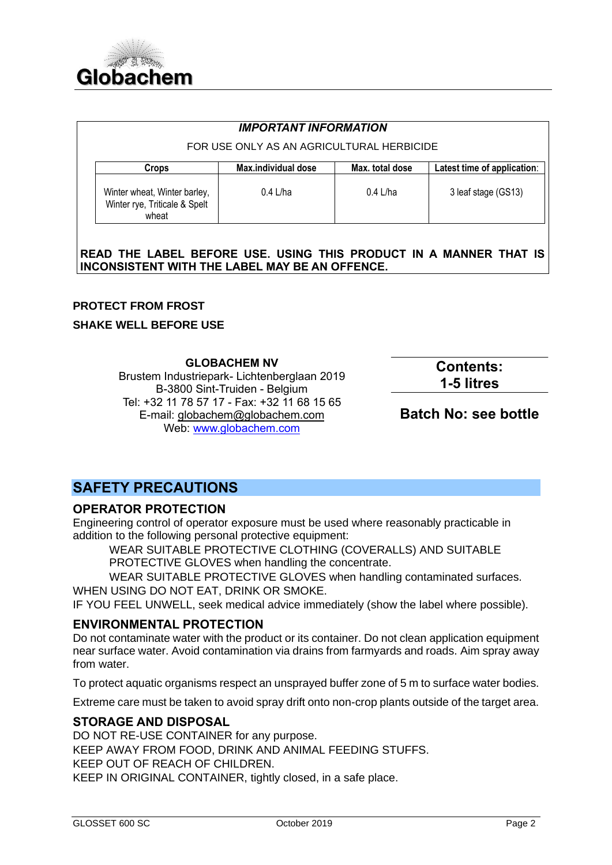

| <b>IMPORTANT INFORMATION</b>                                           |                     |                 |                             |  |  |
|------------------------------------------------------------------------|---------------------|-----------------|-----------------------------|--|--|
| FOR USE ONLY AS AN AGRICULTURAL HERBICIDE                              |                     |                 |                             |  |  |
| Crops                                                                  | Max.individual dose | Max. total dose | Latest time of application: |  |  |
| Winter wheat, Winter barley,<br>Winter rye, Triticale & Spelt<br>wheat | 0.4 L/ha            | $0.4$ L/ha      | 3 leaf stage (GS13)         |  |  |

**READ THE LABEL BEFORE USE. USING THIS PRODUCT IN A MANNER THAT IS INCONSISTENT WITH THE LABEL MAY BE AN OFFENCE.** 

#### **PROTECT FROM FROST**

#### **SHAKE WELL BEFORE USE**

**GLOBACHEM NV** Brustem Industriepark- Lichtenberglaan 2019 B-3800 Sint-Truiden - Belgium Tel: +32 11 78 57 17 - Fax: +32 11 68 15 65 E-mail: [globachem@globachem.com](mailto:globachem@globachem.com) Web: [www.globachem.com](http://www.globachem.com/)

**Contents: 1-5 litres**

**Batch No: see bottle**

# **SAFETY PRECAUTIONS**

## **OPERATOR PROTECTION**

Engineering control of operator exposure must be used where reasonably practicable in addition to the following personal protective equipment:

WEAR SUITABLE PROTECTIVE CLOTHING (COVERALLS) AND SUITABLE PROTECTIVE GLOVES when handling the concentrate.

WEAR SUITABLE PROTECTIVE GLOVES when handling contaminated surfaces. WHEN USING DO NOT EAT, DRINK OR SMOKE.

IF YOU FEEL UNWELL, seek medical advice immediately (show the label where possible).

## **ENVIRONMENTAL PROTECTION**

Do not contaminate water with the product or its container. Do not clean application equipment near surface water. Avoid contamination via drains from farmyards and roads. Aim spray away from water.

To protect aquatic organisms respect an unsprayed buffer zone of 5 m to surface water bodies.

Extreme care must be taken to avoid spray drift onto non-crop plants outside of the target area.

## **STORAGE AND DISPOSAL**

DO NOT RE-USE CONTAINER for any purpose. KEEP AWAY FROM FOOD, DRINK AND ANIMAL FEEDING STUFFS. KEEP OUT OF REACH OF CHILDREN. KEEP IN ORIGINAL CONTAINER, tightly closed, in a safe place.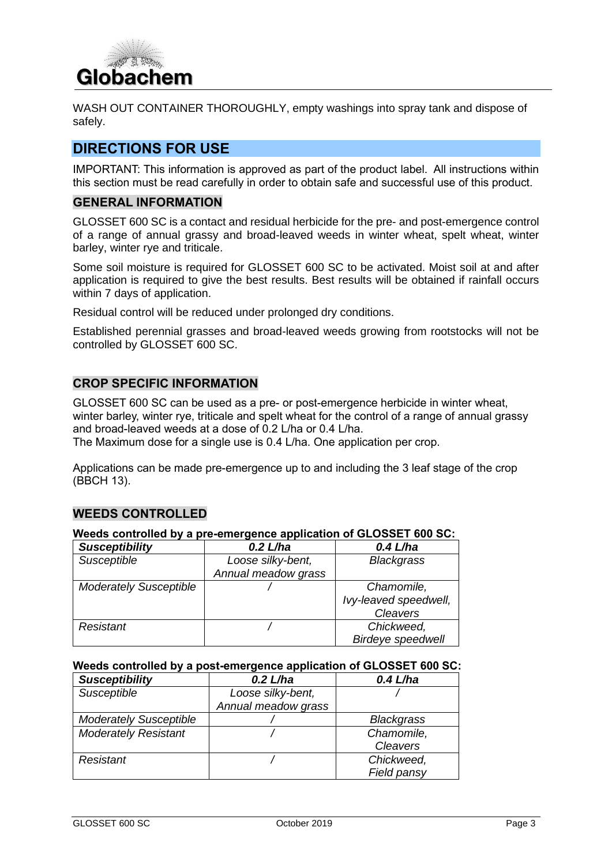

WASH OUT CONTAINER THOROUGHLY, empty washings into spray tank and dispose of safely.

# **DIRECTIONS FOR USE**

IMPORTANT: This information is approved as part of the product label. All instructions within this section must be read carefully in order to obtain safe and successful use of this product.

#### **GENERAL INFORMATION**

GLOSSET 600 SC is a contact and residual herbicide for the pre- and post-emergence control of a range of annual grassy and broad-leaved weeds in winter wheat, spelt wheat, winter barley, winter rye and triticale.

Some soil moisture is required for GLOSSET 600 SC to be activated. Moist soil at and after application is required to give the best results. Best results will be obtained if rainfall occurs within 7 days of application.

Residual control will be reduced under prolonged dry conditions.

Established perennial grasses and broad-leaved weeds growing from rootstocks will not be controlled by GLOSSET 600 SC.

## **CROP SPECIFIC INFORMATION**

GLOSSET 600 SC can be used as a pre- or post-emergence herbicide in winter wheat, winter barley, winter rye, triticale and spelt wheat for the control of a range of annual grassy and broad-leaved weeds at a dose of 0.2 L/ha or 0.4 L/ha. The Maximum dose for a single use is 0.4 L/ha. One application per crop.

Applications can be made pre-emergence up to and including the 3 leaf stage of the crop (BBCH 13).

## **WEEDS CONTROLLED**

#### **Weeds controlled by a pre-emergence application of GLOSSET 600 SC:**

| <b>Susceptibility</b>         | $0.2$ L/ha          | $0.4$ L/ha               |
|-------------------------------|---------------------|--------------------------|
| Susceptible                   | Loose silky-bent,   | <b>Blackgrass</b>        |
|                               | Annual meadow grass |                          |
| <b>Moderately Susceptible</b> |                     | Chamomile,               |
|                               |                     | Ivy-leaved speedwell,    |
|                               |                     | Cleavers                 |
| Resistant                     |                     | Chickweed,               |
|                               |                     | <b>Birdeye speedwell</b> |

#### **Weeds controlled by a post-emergence application of GLOSSET 600 SC:**

| <b>Susceptibility</b>         | $0.2$ L/ha          | $0.4$ L/ha        |
|-------------------------------|---------------------|-------------------|
| Susceptible                   | Loose silky-bent,   |                   |
|                               | Annual meadow grass |                   |
| <b>Moderately Susceptible</b> |                     | <b>Blackgrass</b> |
| <b>Moderately Resistant</b>   |                     | Chamomile,        |
|                               |                     | Cleavers          |
| Resistant                     |                     | Chickweed,        |
|                               |                     | Field pansy       |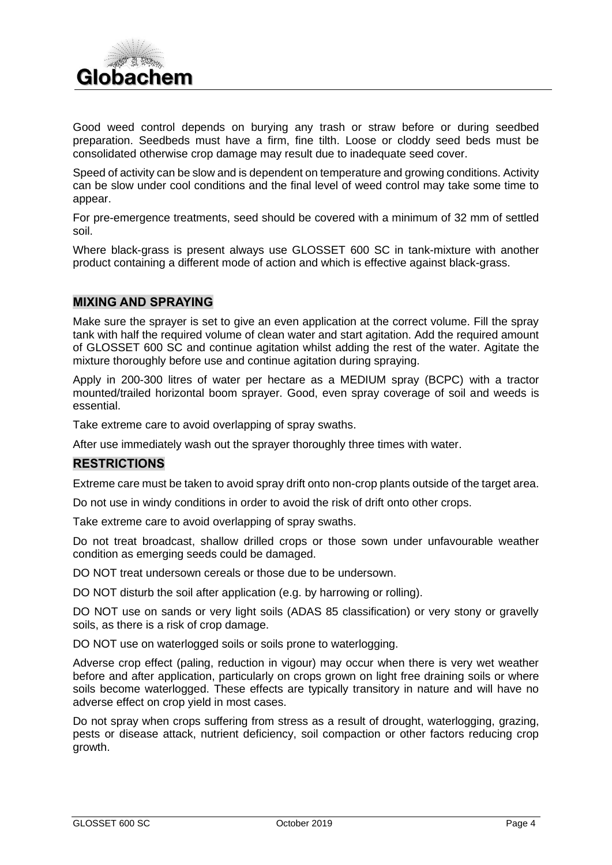

Good weed control depends on burying any trash or straw before or during seedbed preparation. Seedbeds must have a firm, fine tilth. Loose or cloddy seed beds must be consolidated otherwise crop damage may result due to inadequate seed cover.

Speed of activity can be slow and is dependent on temperature and growing conditions. Activity can be slow under cool conditions and the final level of weed control may take some time to appear.

For pre-emergence treatments, seed should be covered with a minimum of 32 mm of settled soil.

Where black-grass is present always use GLOSSET 600 SC in tank-mixture with another product containing a different mode of action and which is effective against black-grass.

## **MIXING AND SPRAYING**

Make sure the sprayer is set to give an even application at the correct volume. Fill the spray tank with half the required volume of clean water and start agitation. Add the required amount of GLOSSET 600 SC and continue agitation whilst adding the rest of the water. Agitate the mixture thoroughly before use and continue agitation during spraying.

Apply in 200-300 litres of water per hectare as a MEDIUM spray (BCPC) with a tractor mounted/trailed horizontal boom sprayer. Good, even spray coverage of soil and weeds is essential.

Take extreme care to avoid overlapping of spray swaths.

After use immediately wash out the sprayer thoroughly three times with water.

#### **RESTRICTIONS**

Extreme care must be taken to avoid spray drift onto non-crop plants outside of the target area.

Do not use in windy conditions in order to avoid the risk of drift onto other crops.

Take extreme care to avoid overlapping of spray swaths.

Do not treat broadcast, shallow drilled crops or those sown under unfavourable weather condition as emerging seeds could be damaged.

DO NOT treat undersown cereals or those due to be undersown.

DO NOT disturb the soil after application (e.g. by harrowing or rolling).

DO NOT use on sands or very light soils (ADAS 85 classification) or very stony or gravelly soils, as there is a risk of crop damage.

DO NOT use on waterlogged soils or soils prone to waterlogging.

Adverse crop effect (paling, reduction in vigour) may occur when there is very wet weather before and after application, particularly on crops grown on light free draining soils or where soils become waterlogged. These effects are typically transitory in nature and will have no adverse effect on crop yield in most cases.

Do not spray when crops suffering from stress as a result of drought, waterlogging, grazing, pests or disease attack, nutrient deficiency, soil compaction or other factors reducing crop growth.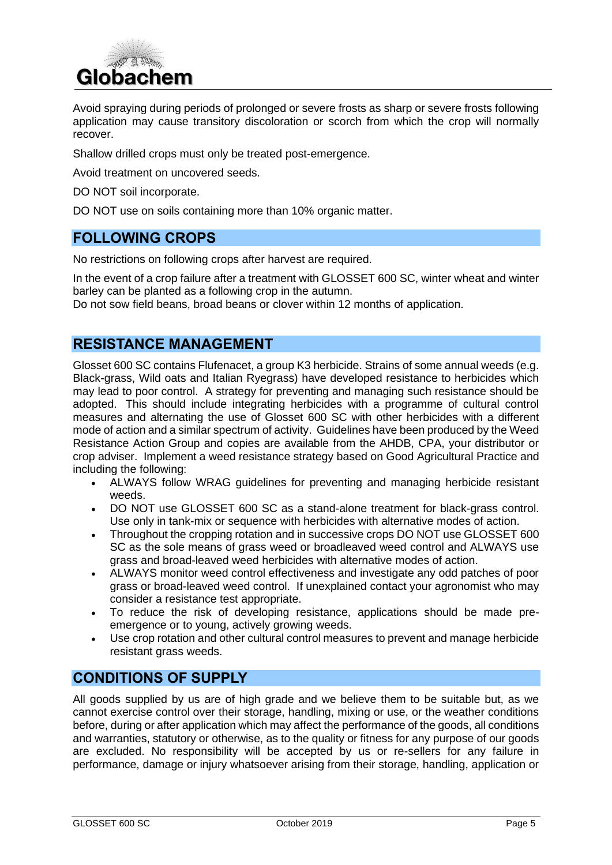

Avoid spraying during periods of prolonged or severe frosts as sharp or severe frosts following application may cause transitory discoloration or scorch from which the crop will normally recover.

Shallow drilled crops must only be treated post-emergence.

Avoid treatment on uncovered seeds.

DO NOT soil incorporate.

DO NOT use on soils containing more than 10% organic matter.

## **FOLLOWING CROPS**

No restrictions on following crops after harvest are required.

In the event of a crop failure after a treatment with GLOSSET 600 SC, winter wheat and winter barley can be planted as a following crop in the autumn.

Do not sow field beans, broad beans or clover within 12 months of application.

# **RESISTANCE MANAGEMENT**

Glosset 600 SC contains Flufenacet, a group K3 herbicide. Strains of some annual weeds (e.g. Black-grass, Wild oats and Italian Ryegrass) have developed resistance to herbicides which may lead to poor control. A strategy for preventing and managing such resistance should be adopted. This should include integrating herbicides with a programme of cultural control measures and alternating the use of Glosset 600 SC with other herbicides with a different mode of action and a similar spectrum of activity. Guidelines have been produced by the Weed Resistance Action Group and copies are available from the AHDB, CPA, your distributor or crop adviser. Implement a weed resistance strategy based on Good Agricultural Practice and including the following:

- ALWAYS follow WRAG guidelines for preventing and managing herbicide resistant weeds.
- DO NOT use GLOSSET 600 SC as a stand-alone treatment for black-grass control. Use only in tank-mix or sequence with herbicides with alternative modes of action.
- Throughout the cropping rotation and in successive crops DO NOT use GLOSSET 600 SC as the sole means of grass weed or broadleaved weed control and ALWAYS use grass and broad-leaved weed herbicides with alternative modes of action.
- ALWAYS monitor weed control effectiveness and investigate any odd patches of poor grass or broad-leaved weed control. If unexplained contact your agronomist who may consider a resistance test appropriate.
- To reduce the risk of developing resistance, applications should be made preemergence or to young, actively growing weeds.
- Use crop rotation and other cultural control measures to prevent and manage herbicide resistant grass weeds.

# **CONDITIONS OF SUPPLY**

All goods supplied by us are of high grade and we believe them to be suitable but, as we cannot exercise control over their storage, handling, mixing or use, or the weather conditions before, during or after application which may affect the performance of the goods, all conditions and warranties, statutory or otherwise, as to the quality or fitness for any purpose of our goods are excluded. No responsibility will be accepted by us or re-sellers for any failure in performance, damage or injury whatsoever arising from their storage, handling, application or